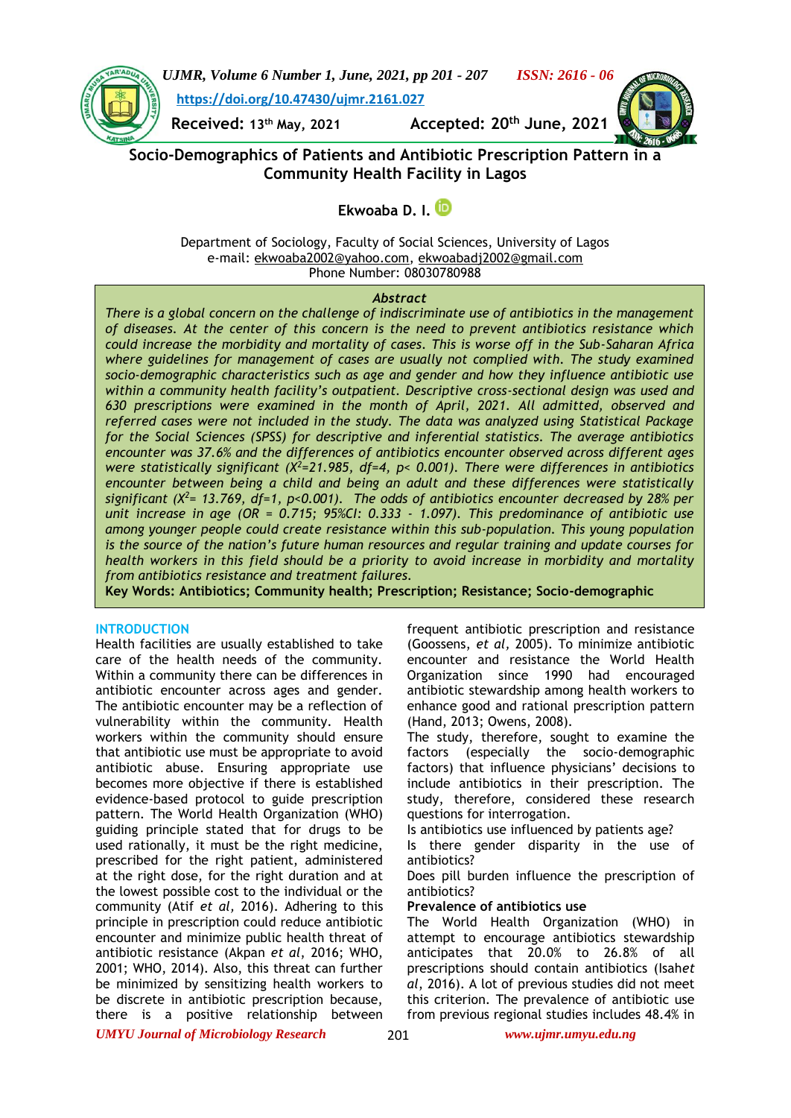

*UJMR, Volume 6 Number 1, June, 2021, pp 201 - 207 ISSN: 2616 - 06* **[https://doi.org/10.47430/ujmr.2161.027](https://doi.org/10.47430/ujmr.2052.001)**

**Received: 13th May, 2021 Accepted: 20th June, 2021**



**Socio-Demographics of Patients and Antibiotic Prescription Pattern in a Community Health Facility in Lagos**

**Ekwoaba D. I.**

Department of Sociology, Faculty of Social Sciences, University of Lagos e-mail: [ekwoaba2002@yahoo.com,](mailto:ekwoaba2002@yahoo.com) [ekwoabadj2002@gmail.com](mailto:ekwoabadj2002@gmail.com)  Phone Number: 08030780988

## *Abstract*

*There is a global concern on the challenge of indiscriminate use of antibiotics in the management of diseases. At the center of this concern is the need to prevent antibiotics resistance which could increase the morbidity and mortality of cases. This is worse off in the Sub-Saharan Africa where guidelines for management of cases are usually not complied with. The study examined socio-demographic characteristics such as age and gender and how they influence antibiotic use within a community health facility's outpatient. Descriptive cross-sectional design was used and 630 prescriptions were examined in the month of April, 2021. All admitted, observed and referred cases were not included in the study. The data was analyzed using Statistical Package for the Social Sciences (SPSS) for descriptive and inferential statistics. The average antibiotics encounter was 37.6% and the differences of antibiotics encounter observed across different ages were statistically significant (X<sup>2</sup>=21.985, df=4, p< 0.001). There were differences in antibiotics encounter between being a child and being an adult and these differences were statistically significant (X<sup>2</sup>= 13.769, df=1, p<0.001). The odds of antibiotics encounter decreased by 28% per unit increase in age (OR = 0.715; 95%CI: 0.333 - 1.097). This predominance of antibiotic use among younger people could create resistance within this sub-population. This young population is the source of the nation's future human resources and regular training and update courses for health workers in this field should be a priority to avoid increase in morbidity and mortality from antibiotics resistance and treatment failures.*

**Key Words: Antibiotics; Community health; Prescription; Resistance; Socio-demographic**

## **INTRODUCTION**

Health facilities are usually established to take care of the health needs of the community. Within a community there can be differences in antibiotic encounter across ages and gender. The antibiotic encounter may be a reflection of vulnerability within the community. Health workers within the community should ensure that antibiotic use must be appropriate to avoid antibiotic abuse. Ensuring appropriate use becomes more objective if there is established evidence-based protocol to guide prescription pattern. The World Health Organization (WHO) guiding principle stated that for drugs to be used rationally, it must be the right medicine, prescribed for the right patient, administered at the right dose, for the right duration and at the lowest possible cost to the individual or the community (Atif *et al,* 2016). Adhering to this principle in prescription could reduce antibiotic encounter and minimize public health threat of antibiotic resistance (Akpan *et al*, 2016; WHO, 2001; WHO, 2014). Also, this threat can further be minimized by sensitizing health workers to be discrete in antibiotic prescription because, there is a positive relationship between

frequent antibiotic prescription and resistance (Goossens, *et al,* 2005). To minimize antibiotic encounter and resistance the World Health Organization since 1990 had encouraged antibiotic stewardship among health workers to enhance good and rational prescription pattern (Hand, 2013; Owens, 2008).

The study, therefore, sought to examine the factors (especially the socio-demographic factors) that influence physicians' decisions to include antibiotics in their prescription. The study, therefore, considered these research questions for interrogation.

Is antibiotics use influenced by patients age?

Is there gender disparity in the use of antibiotics?

Does pill burden influence the prescription of antibiotics?

## **Prevalence of antibiotics use**

The World Health Organization (WHO) in attempt to encourage antibiotics stewardship anticipates that 20.0% to 26.8% of all prescriptions should contain antibiotics (Isah*et al*, 2016). A lot of previous studies did not meet this criterion. The prevalence of antibiotic use from previous regional studies includes 48.4% in

*UMYU Journal of Microbiology Research www.ujmr.umyu.edu.ng*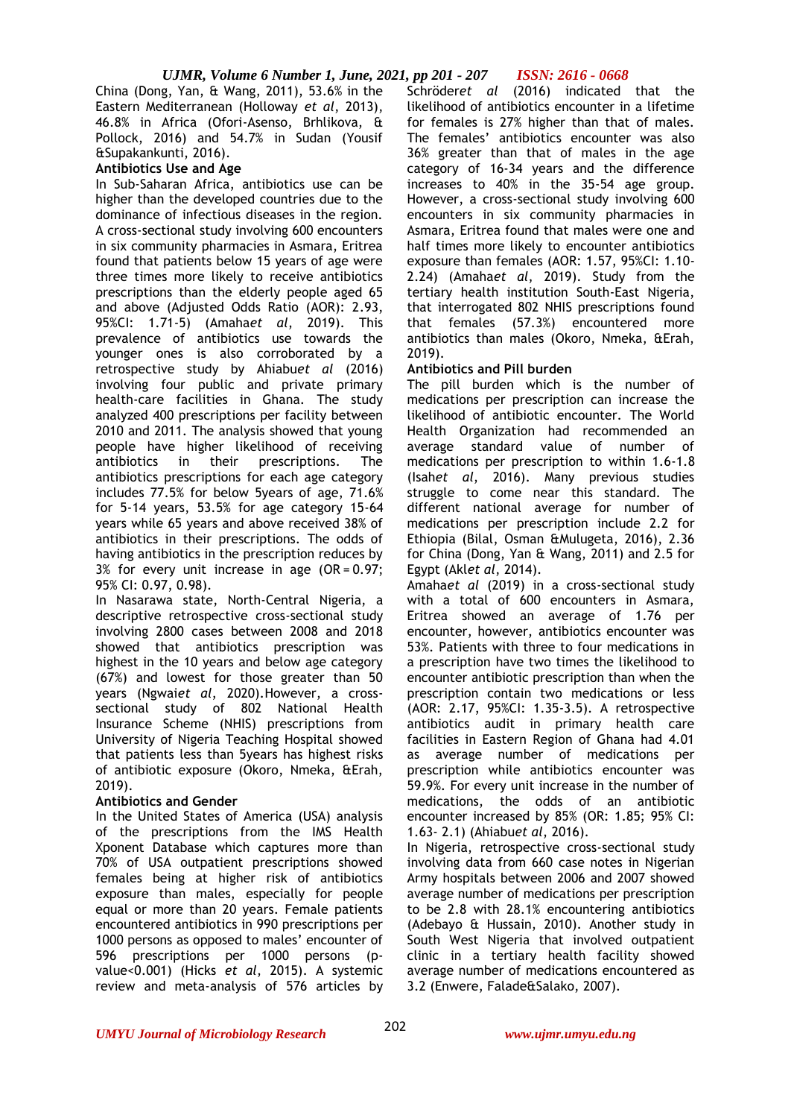China (Dong, Yan, & Wang, 2011), 53.6% in the Eastern Mediterranean (Holloway *et al*, 2013), 46.8% in Africa (Ofori-Asenso, Brhlikova, & Pollock, 2016) and 54.7% in Sudan (Yousif &Supakankunti, 2016).

# **Antibiotics Use and Age**

In Sub-Saharan Africa, antibiotics use can be higher than the developed countries due to the dominance of infectious diseases in the region. A cross-sectional study involving 600 encounters in six community pharmacies in Asmara, Eritrea found that patients below 15 years of age were three times more likely to receive antibiotics prescriptions than the elderly people aged 65 and above (Adjusted Odds Ratio (AOR): 2.93, 95%CI: 1.71-5) (Amaha*et al*, 2019). This prevalence of antibiotics use towards the younger ones is also corroborated by a retrospective study by Ahiabu*et al* (2016) involving four public and private primary health-care facilities in Ghana. The study analyzed 400 prescriptions per facility between 2010 and 2011. The analysis showed that young people have higher likelihood of receiving antibiotics in their prescriptions. The antibiotics prescriptions for each age category includes 77.5% for below 5years of age, 71.6% for 5-14 years, 53.5% for age category 15-64 years while 65 years and above received 38% of antibiotics in their prescriptions. The odds of having antibiotics in the prescription reduces by  $3\%$  for every unit increase in age (OR = 0.97; 95% CI: 0.97, 0.98).

In Nasarawa state, North-Central Nigeria, a descriptive retrospective cross-sectional study involving 2800 cases between 2008 and 2018 showed that antibiotics prescription was highest in the 10 years and below age category (67%) and lowest for those greater than 50 years (Ngwai*et al*, 2020).However, a crosssectional study of 802 National Health Insurance Scheme (NHIS) prescriptions from University of Nigeria Teaching Hospital showed that patients less than 5years has highest risks of antibiotic exposure (Okoro, Nmeka, &Erah, 2019).

## **Antibiotics and Gender**

In the United States of America (USA) analysis of the prescriptions from the IMS Health Xponent Database which captures more than 70% of USA outpatient prescriptions showed females being at higher risk of antibiotics exposure than males, especially for people equal or more than 20 years. Female patients encountered antibiotics in 990 prescriptions per 1000 persons as opposed to males' encounter of 596 prescriptions per 1000 persons (pvalue<0.001) (Hicks *et al*, 2015). A systemic review and meta-analysis of 576 articles by

Schröder*et al* (2016) indicated that the likelihood of antibiotics encounter in a lifetime for females is 27% higher than that of males. The females' antibiotics encounter was also 36% greater than that of males in the age category of 16-34 years and the difference increases to 40% in the 35-54 age group. However, a cross-sectional study involving 600 encounters in six community pharmacies in Asmara, Eritrea found that males were one and half times more likely to encounter antibiotics exposure than females (AOR: 1.57, 95%CI: 1.10- 2.24) (Amaha*et al*, 2019). Study from the tertiary health institution South-East Nigeria, that interrogated 802 NHIS prescriptions found that females (57.3%) encountered more antibiotics than males (Okoro, Nmeka, &Erah, 2019).

# **Antibiotics and Pill burden**

The pill burden which is the number of medications per prescription can increase the likelihood of antibiotic encounter. The World Health Organization had recommended an average standard value of number of medications per prescription to within 1.6-1.8 (Isah*et al*, 2016). Many previous studies struggle to come near this standard. The different national average for number of medications per prescription include 2.2 for Ethiopia (Bilal, Osman &Mulugeta, 2016), 2.36 for China (Dong, Yan & Wang, 2011) and 2.5 for Egypt (Akl*et al*, 2014).

Amaha*et al* (2019) in a cross-sectional study with a total of 600 encounters in Asmara, Eritrea showed an average of 1.76 per encounter, however, antibiotics encounter was 53%. Patients with three to four medications in a prescription have two times the likelihood to encounter antibiotic prescription than when the prescription contain two medications or less (AOR: 2.17, 95%CI: 1.35-3.5). A retrospective antibiotics audit in primary health care facilities in Eastern Region of Ghana had 4.01 as average number of medications per prescription while antibiotics encounter was 59.9%. For every unit increase in the number of medications, the odds of an antibiotic encounter increased by 85% (OR: 1.85; 95% CI: 1.63- 2.1) (Ahiabu*et al*, 2016).

In Nigeria, retrospective cross-sectional study involving data from 660 case notes in Nigerian Army hospitals between 2006 and 2007 showed average number of medications per prescription to be 2.8 with 28.1% encountering antibiotics (Adebayo & Hussain, 2010). Another study in South West Nigeria that involved outpatient clinic in a tertiary health facility showed average number of medications encountered as 3.2 (Enwere, Falade&Salako, 2007).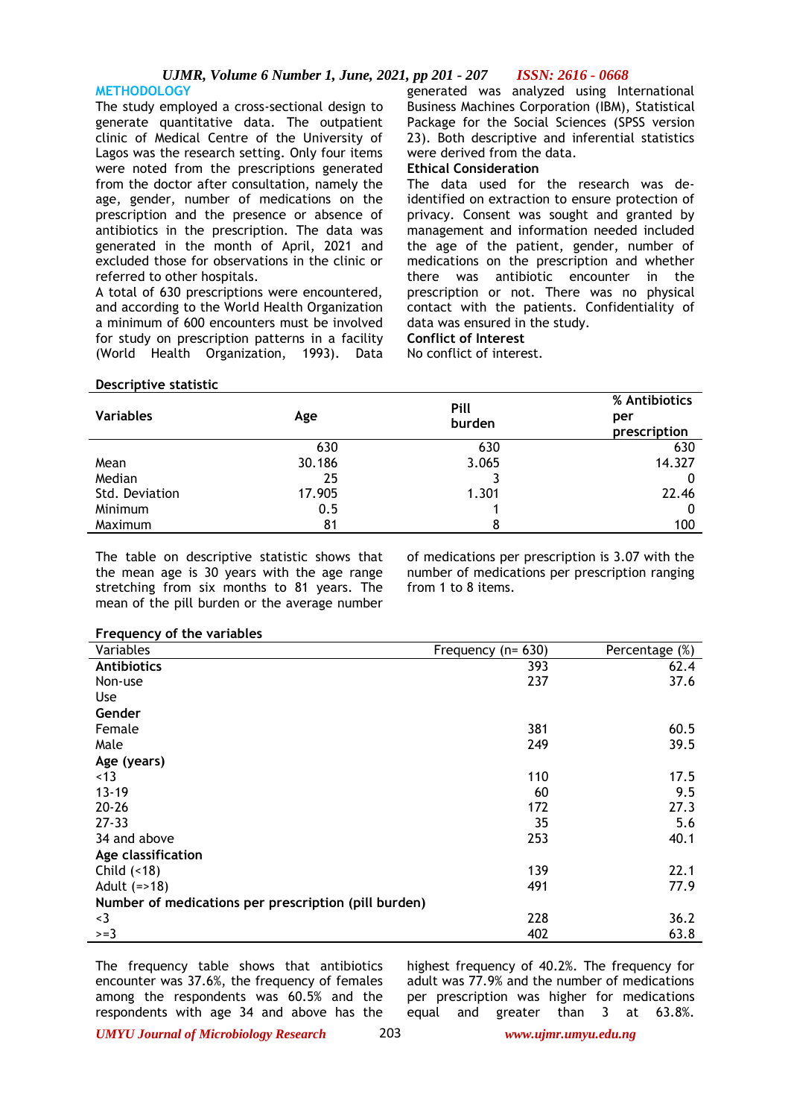**METHODOLOGY** The study employed a cross-sectional design to generate quantitative data. The outpatient clinic of Medical Centre of the University of Lagos was the research setting. Only four items were noted from the prescriptions generated from the doctor after consultation, namely the age, gender, number of medications on the prescription and the presence or absence of antibiotics in the prescription. The data was generated in the month of April, 2021 and excluded those for observations in the clinic or referred to other hospitals.

A total of 630 prescriptions were encountered, and according to the World Health Organization a minimum of 600 encounters must be involved for study on prescription patterns in a facility (World Health Organization, 1993). Data

generated was analyzed using International Business Machines Corporation (IBM), Statistical Package for the Social Sciences (SPSS version 23). Both descriptive and inferential statistics were derived from the data.

# **Ethical Consideration**

The data used for the research was deidentified on extraction to ensure protection of privacy. Consent was sought and granted by management and information needed included the age of the patient, gender, number of medications on the prescription and whether there was antibiotic encounter in the prescription or not. There was no physical contact with the patients. Confidentiality of data was ensured in the study.

# **Conflict of Interest**

No conflict of interest.

### **Descriptive statistic**

| <b>Variables</b> | Age    | Pill<br>burden | % Antibiotics<br>per<br>prescription |
|------------------|--------|----------------|--------------------------------------|
|                  | 630    | 630            | 630                                  |
| Mean             | 30.186 | 3.065          | 14.327                               |
| Median           | 25     |                |                                      |
| Std. Deviation   | 17.905 | 1.301          | 22.46                                |
| Minimum          | 0.5    |                | 0                                    |
| Maximum          | 81     | 8              | 100                                  |

The table on descriptive statistic shows that the mean age is 30 years with the age range stretching from six months to 81 years. The mean of the pill burden or the average number

of medications per prescription is 3.07 with the number of medications per prescription ranging from 1 to 8 items.

| Variables                                            | Frequency ( $n = 630$ ) | Percentage (%) |
|------------------------------------------------------|-------------------------|----------------|
| <b>Antibiotics</b>                                   | 393                     | 62.4           |
| Non-use                                              | 237                     | 37.6           |
| <b>Use</b>                                           |                         |                |
| Gender                                               |                         |                |
| Female                                               | 381                     | 60.5           |
| Male                                                 | 249                     | 39.5           |
| Age (years)                                          |                         |                |
| <13                                                  | 110                     | 17.5           |
| $13 - 19$                                            | 60                      | 9.5            |
| $20 - 26$                                            | 172                     | 27.3           |
| $27 - 33$                                            | 35                      | 5.6            |
| 34 and above                                         | 253                     | 40.1           |
| Age classification                                   |                         |                |
| Child $($ < 18)                                      | 139                     | 22.1           |
| Adult $(=>18)$                                       | 491                     | 77.9           |
| Number of medications per prescription (pill burden) |                         |                |
| $3$                                                  | 228                     | 36.2           |
| $>=3$                                                | 402                     | 63.8           |

The frequency table shows that antibiotics encounter was 37.6%, the frequency of females among the respondents was 60.5% and the respondents with age 34 and above has the

highest frequency of 40.2%. The frequency for adult was 77.9% and the number of medications per prescription was higher for medications equal and greater than 3 at 63.8%.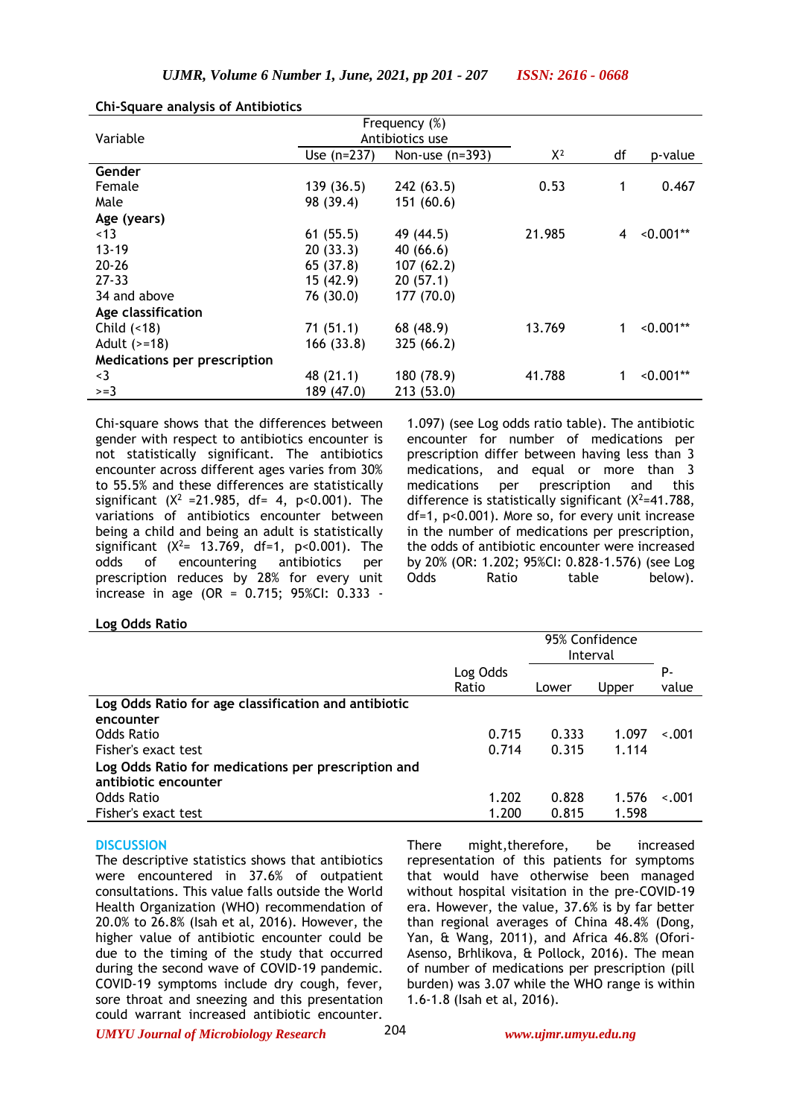|                                     | Frequency (%)<br>Antibiotics use |                   |        |    |             |
|-------------------------------------|----------------------------------|-------------------|--------|----|-------------|
| Variable                            |                                  |                   |        |    |             |
|                                     | Use $(n=237)$                    | Non-use $(n=393)$ | $X^2$  | df | p-value     |
| Gender                              |                                  |                   |        |    |             |
| Female                              | 139(36.5)                        | 242(63.5)         | 0.53   | 1  | 0.467       |
| Male                                | 98 (39.4)                        | 151(60.6)         |        |    |             |
| Age (years)                         |                                  |                   |        |    |             |
| ~13                                 | 61(55.5)                         | 49 (44.5)         | 21.985 | 4  | $< 0.001**$ |
| $13 - 19$                           | 20(33.3)                         | 40(66.6)          |        |    |             |
| $20 - 26$                           | 65 (37.8)                        | 107(62.2)         |        |    |             |
| $27 - 33$                           | 15(42.9)                         | 20(57.1)          |        |    |             |
| 34 and above                        | 76 (30.0)                        | 177(70.0)         |        |    |             |
| Age classification                  |                                  |                   |        |    |             |
| Child $( < 18)$                     | 71(51.1)                         | 68 (48.9)         | 13.769 | 1  | $< 0.001**$ |
| Adult $(>=18)$                      | 166(33.8)                        | 325(66.2)         |        |    |             |
| <b>Medications per prescription</b> |                                  |                   |        |    |             |
| $\leq$ 3                            | 48 (21.1)                        | 180 (78.9)        | 41.788 | 1  | $< 0.001**$ |
| $>=3$                               | 189 (47.0)                       | 213 (53.0)        |        |    |             |

#### **Chi-Square analysis of Antibiotics**

Chi-square shows that the differences between gender with respect to antibiotics encounter is not statistically significant. The antibiotics encounter across different ages varies from 30% to 55.5% and these differences are statistically significant ( $X^2 = 21.985$ , df= 4, p<0.001). The variations of antibiotics encounter between being a child and being an adult is statistically significant  $(X^2 = 13.769, df=1, p<0.001)$ . The odds of encountering antibiotics per prescription reduces by 28% for every unit increase in age (OR = 0.715; 95%CI: 0.333 -

1.097) (see Log odds ratio table). The antibiotic encounter for number of medications per prescription differ between having less than 3 medications, and equal or more than 3 medications per prescription and this difference is statistically significant  $(X^2=41.788,$ df=1, p<0.001). More so, for every unit increase in the number of medications per prescription, the odds of antibiotic encounter were increased by 20% (OR: 1.202; 95%CI: 0.828-1.576) (see Log Odds Ratio table below).

### **Log Odds Ratio**

|                                                      |          | 95% Confidence<br>Interval |       |         |
|------------------------------------------------------|----------|----------------------------|-------|---------|
|                                                      | Log Odds |                            |       | P-      |
|                                                      | Ratio    | Lower                      | Upper | value   |
| Log Odds Ratio for age classification and antibiotic |          |                            |       |         |
| encounter                                            |          |                            |       |         |
| Odds Ratio                                           | 0.715    | 0.333                      | 1.097 | $-.001$ |
| Fisher's exact test                                  | 0.714    | 0.315                      | 1.114 |         |
| Log Odds Ratio for medications per prescription and  |          |                            |       |         |
| antibiotic encounter                                 |          |                            |       |         |
| Odds Ratio                                           | 1.202    | 0.828                      | 1.576 | $-.001$ |
| Fisher's exact test                                  | 1.200    | 0.815                      | 1.598 |         |

#### **DISCUSSION**

The descriptive statistics shows that antibiotics were encountered in 37.6% of outpatient consultations. This value falls outside the World Health Organization (WHO) recommendation of 20.0% to 26.8% (Isah et al, 2016). However, the higher value of antibiotic encounter could be due to the timing of the study that occurred during the second wave of COVID-19 pandemic. COVID-19 symptoms include dry cough, fever, sore throat and sneezing and this presentation could warrant increased antibiotic encounter.

There might,therefore, be increased representation of this patients for symptoms that would have otherwise been managed without hospital visitation in the pre-COVID-19 era. However, the value, 37.6% is by far better than regional averages of China 48.4% (Dong, Yan, & Wang, 2011), and Africa 46.8% (Ofori-Asenso, Brhlikova, & Pollock, 2016). The mean of number of medications per prescription (pill burden) was 3.07 while the WHO range is within 1.6-1.8 (Isah et al, 2016).

*UMYU Journal of Microbiology Research www.ujmr.umyu.edu.ng*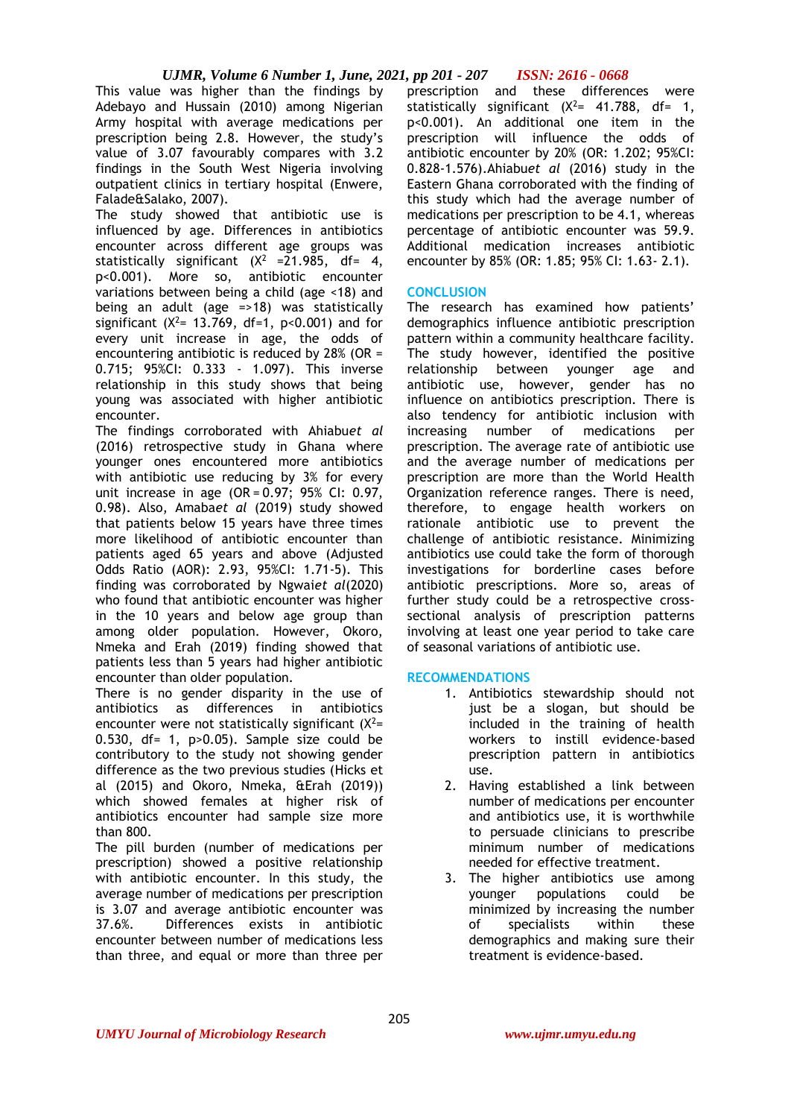This value was higher than the findings by Adebayo and Hussain (2010) among Nigerian Army hospital with average medications per prescription being 2.8. However, the study's value of 3.07 favourably compares with 3.2 findings in the South West Nigeria involving outpatient clinics in tertiary hospital (Enwere, Falade&Salako, 2007).

The study showed that antibiotic use is influenced by age. Differences in antibiotics encounter across different age groups was statistically significant  $(X^2 = 21.985, df = 4,$ p<0.001). More so, antibiotic encounter variations between being a child (age <18) and being an adult (age =>18) was statistically significant ( $X^2$ = 13.769, df=1, p<0.001) and for every unit increase in age, the odds of encountering antibiotic is reduced by 28% (OR = 0.715; 95%CI: 0.333 - 1.097). This inverse relationship in this study shows that being young was associated with higher antibiotic encounter.

The findings corroborated with Ahiabu*et al* (2016) retrospective study in Ghana where younger ones encountered more antibiotics with antibiotic use reducing by 3% for every unit increase in age  $(OR = 0.97; 95\% \text{ Cl: } 0.97,$ 0.98). Also, Amaba*et al* (2019) study showed that patients below 15 years have three times more likelihood of antibiotic encounter than patients aged 65 years and above (Adjusted Odds Ratio (AOR): 2.93, 95%CI: 1.71-5). This finding was corroborated by Ngwai*et al*(2020) who found that antibiotic encounter was higher in the 10 years and below age group than among older population. However, Okoro, Nmeka and Erah (2019) finding showed that patients less than 5 years had higher antibiotic encounter than older population.

There is no gender disparity in the use of antibiotics as differences in antibiotics encounter were not statistically significant  $(X^2=$ 0.530, df= 1,  $p>0.05$ ). Sample size could be contributory to the study not showing gender difference as the two previous studies (Hicks et al (2015) and Okoro, Nmeka, &Erah (2019)) which showed females at higher risk of antibiotics encounter had sample size more than 800.

The pill burden (number of medications per prescription) showed a positive relationship with antibiotic encounter. In this study, the average number of medications per prescription is 3.07 and average antibiotic encounter was 37.6%. Differences exists in antibiotic encounter between number of medications less than three, and equal or more than three per

prescription and these differences were statistically significant  $(X^2 = 41.788, df = 1,$ p<0.001). An additional one item in the prescription will influence the odds of antibiotic encounter by 20% (OR: 1.202; 95%CI: 0.828-1.576).Ahiabu*et al* (2016) study in the Eastern Ghana corroborated with the finding of this study which had the average number of medications per prescription to be 4.1, whereas percentage of antibiotic encounter was 59.9. Additional medication increases antibiotic encounter by 85% (OR: 1.85; 95% CI: 1.63- 2.1).

# **CONCLUSION**

The research has examined how patients' demographics influence antibiotic prescription pattern within a community healthcare facility. The study however, identified the positive relationship between younger age and antibiotic use, however, gender has no influence on antibiotics prescription. There is also tendency for antibiotic inclusion with increasing number of medications per prescription. The average rate of antibiotic use and the average number of medications per prescription are more than the World Health Organization reference ranges. There is need, therefore, to engage health workers on rationale antibiotic use to prevent the challenge of antibiotic resistance. Minimizing antibiotics use could take the form of thorough investigations for borderline cases before antibiotic prescriptions. More so, areas of further study could be a retrospective crosssectional analysis of prescription patterns involving at least one year period to take care of seasonal variations of antibiotic use.

# **RECOMMENDATIONS**

- 1. Antibiotics stewardship should not just be a slogan, but should be included in the training of health workers to instill evidence-based prescription pattern in antibiotics use.
- 2. Having established a link between number of medications per encounter and antibiotics use, it is worthwhile to persuade clinicians to prescribe minimum number of medications needed for effective treatment.
- 3. The higher antibiotics use among younger populations could be minimized by increasing the number of specialists within these demographics and making sure their treatment is evidence-based.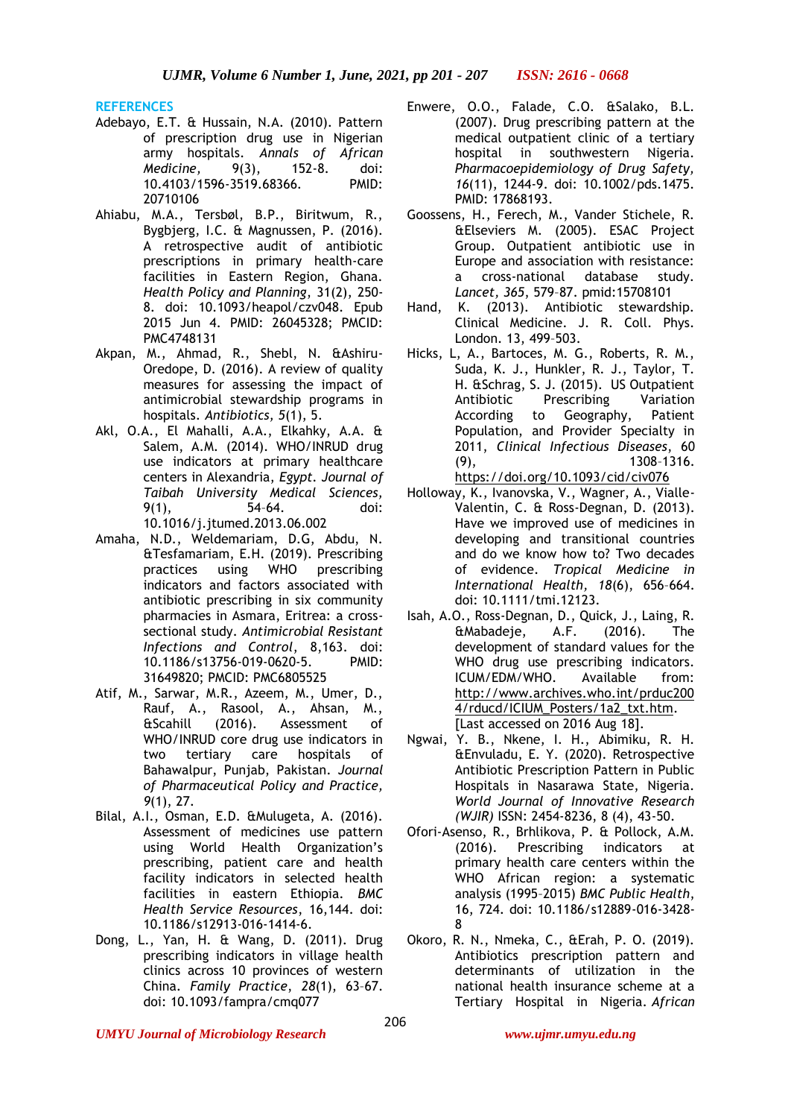**REFERENCES**

- Adebayo, E.T. & Hussain, N.A. (2010). Pattern of prescription drug use in Nigerian army hospitals. *Annals of African Medicine,* 9(3), 152-8. doi: 10.4103/1596-3519.68366. PMID: 20710106
- Ahiabu, M.A., Tersbøl, B.P., Biritwum, R., Bygbjerg, I.C. & Magnussen, P. (2016). A retrospective audit of antibiotic prescriptions in primary health-care facilities in Eastern Region, Ghana. *Health Policy and Planning*, 31(2), 250- 8. doi: 10.1093/heapol/czv048. Epub 2015 Jun 4. PMID: 26045328; PMCID: PMC4748131
- Akpan, M., Ahmad, R., Shebl, N. &Ashiru-Oredope, D. (2016). A review of quality measures for assessing the impact of antimicrobial stewardship programs in hospitals. *Antibiotics, 5*(1), 5.
- Akl, O.A., El Mahalli, A.A., Elkahky, A.A. & Salem, A.M. (2014). WHO/INRUD drug use indicators at primary healthcare centers in Alexandria, *Egypt. Journal of Taibah University Medical Sciences,*  9(1), 54–64. doi: 10.1016/j.jtumed.2013.06.002
- Amaha, N.D., Weldemariam, D.G, Abdu, N. &Tesfamariam, E.H. (2019). Prescribing practices using WHO prescribing indicators and factors associated with antibiotic prescribing in six community pharmacies in Asmara, Eritrea: a crosssectional study. *Antimicrobial Resistant Infections and Control*, 8,163. doi: 10.1186/s13756-019-0620-5. PMID: 31649820; PMCID: PMC6805525
- Atif, M., Sarwar, M.R., Azeem, M., Umer, D., Rauf, A., Rasool, A., Ahsan, M., &Scahill (2016). Assessment of WHO/INRUD core drug use indicators in two tertiary care hospitals of Bahawalpur, Punjab, Pakistan. *Journal of Pharmaceutical Policy and Practice, 9*(1), 27.
- Bilal, A.I., Osman, E.D. &Mulugeta, A. (2016). Assessment of medicines use pattern using World Health Organization's prescribing, patient care and health facility indicators in selected health facilities in eastern Ethiopia. *BMC Health Service Resources*, 16,144. doi: 10.1186/s12913-016-1414-6.
- Dong, L., Yan, H. & Wang, D. (2011). Drug prescribing indicators in village health clinics across 10 provinces of western China. *Family Practice*, *28*(1), 63–67. doi: 10.1093/fampra/cmq077
- Enwere, O.O., Falade, C.O. &Salako, B.L. (2007). Drug prescribing pattern at the medical outpatient clinic of a tertiary hospital in southwestern Nigeria. *Pharmacoepidemiology of Drug Safety, 16*(11), 1244-9. doi: 10.1002/pds.1475. PMID: 17868193.
- Goossens, H., Ferech, M., Vander Stichele, R. &Elseviers M. (2005). ESAC Project Group. Outpatient antibiotic use in Europe and association with resistance: a cross-national database study. *Lancet, 365*, 579–87. pmid:15708101
- Hand, K. (2013). Antibiotic stewardship. Clinical Medicine. J. R. Coll. Phys. London. 13, 499–503.
- Hicks, L, A., Bartoces, M. G., Roberts, R. M., Suda, K. J., Hunkler, R. J., Taylor, T. H. &Schrag, S. J. (2015). US Outpatient Antibiotic Prescribing Variation According to Geography, Patient Population, and Provider Specialty in 2011, *Clinical Infectious Diseases*, 60 (9), 1308–1316. <https://doi.org/10.1093/cid/civ076>
- Holloway, K., Ivanovska, V., Wagner, A., Vialle-Valentin, C. & Ross-Degnan, D. (2013). Have we improved use of medicines in developing and transitional countries and do we know how to? Two decades of evidence. *Tropical Medicine in International Health, 18*(6), 656–664. doi: 10.1111/tmi.12123.
- Isah, A.O., Ross-Degnan, D., Quick, J., Laing, R. &Mabadeje, A.F. (2016). The development of standard values for the WHO drug use prescribing indicators. ICUM/EDM/WHO. Available from: [http://www.archives.who.int/prduc200](http://www.archives.who.int/prduc2004/rducd/ICIUM_Posters/1a2_txt.htm) [4/rducd/ICIUM\\_Posters/1a2\\_txt.htm.](http://www.archives.who.int/prduc2004/rducd/ICIUM_Posters/1a2_txt.htm) [Last accessed on 2016 Aug 18].
- Ngwai, Y. B., Nkene, I. H., Abimiku, R. H. &Envuladu, E. Y. (2020). Retrospective Antibiotic Prescription Pattern in Public Hospitals in Nasarawa State, Nigeria. *World Journal of Innovative Research (WJIR)* ISSN: 2454-8236, 8 (4), 43-50.
- Ofori-Asenso, R., Brhlikova, P. & Pollock, A.M. (2016). Prescribing indicators at primary health care centers within the WHO African region: a systematic analysis (1995–2015) *BMC Public Health*, 16, 724. doi: 10.1186/s12889-016-3428- 8
- Okoro, R. N., Nmeka, C., &Erah, P. O. (2019). Antibiotics prescription pattern and determinants of utilization in the national health insurance scheme at a Tertiary Hospital in Nigeria. *African*

*UMYU Journal of Microbiology Research www.ujmr.umyu.edu.ng*